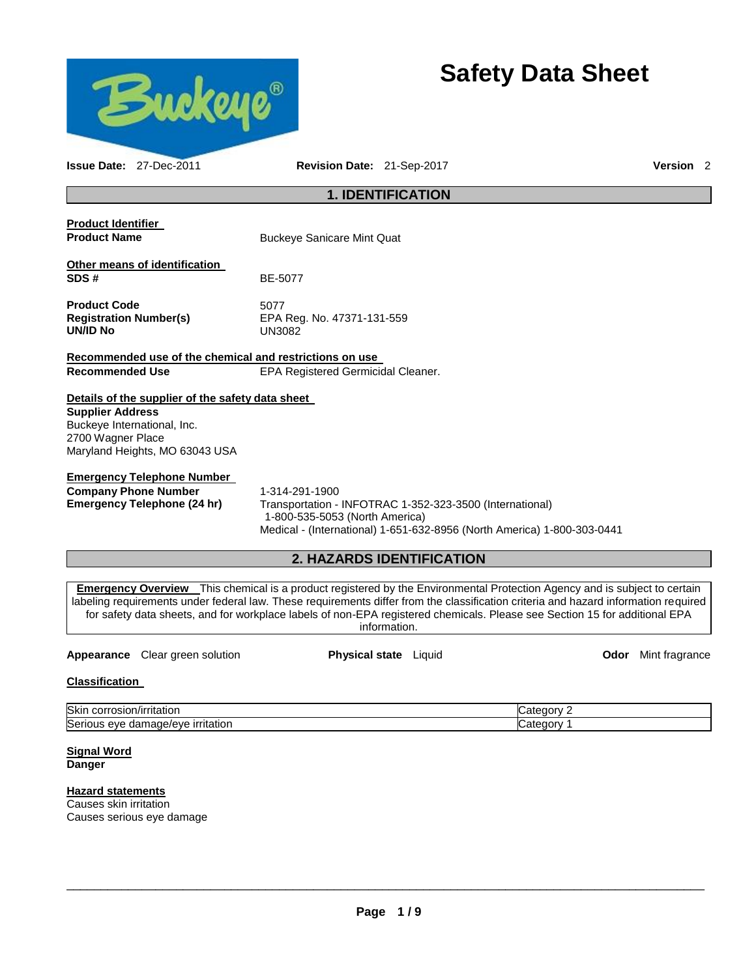

# **Safety Data Sheet**

| <b>Issue Date: 27-Dec-2011</b>                                              |                                                                                    | <b>Revision Date: 21-Sep-2017</b>                                                                            |                                                                                                                                                                                                                                                                                                                                                                                                       | Version <sub>2</sub>       |
|-----------------------------------------------------------------------------|------------------------------------------------------------------------------------|--------------------------------------------------------------------------------------------------------------|-------------------------------------------------------------------------------------------------------------------------------------------------------------------------------------------------------------------------------------------------------------------------------------------------------------------------------------------------------------------------------------------------------|----------------------------|
|                                                                             |                                                                                    | <b>1. IDENTIFICATION</b>                                                                                     |                                                                                                                                                                                                                                                                                                                                                                                                       |                            |
| <b>Product Identifier</b><br><b>Product Name</b>                            |                                                                                    | <b>Buckeye Sanicare Mint Quat</b>                                                                            |                                                                                                                                                                                                                                                                                                                                                                                                       |                            |
| SDS#                                                                        | Other means of identification                                                      | BE-5077                                                                                                      |                                                                                                                                                                                                                                                                                                                                                                                                       |                            |
| <b>Product Code</b><br><b>Registration Number(s)</b><br><b>UN/ID No</b>     |                                                                                    | 5077<br>EPA Reg. No. 47371-131-559<br><b>UN3082</b>                                                          |                                                                                                                                                                                                                                                                                                                                                                                                       |                            |
|                                                                             |                                                                                    | Recommended use of the chemical and restrictions on use                                                      |                                                                                                                                                                                                                                                                                                                                                                                                       |                            |
| <b>Recommended Use</b>                                                      |                                                                                    | EPA Registered Germicidal Cleaner.                                                                           |                                                                                                                                                                                                                                                                                                                                                                                                       |                            |
| <b>Supplier Address</b><br>Buckeye International, Inc.<br>2700 Wagner Place | Details of the supplier of the safety data sheet<br>Maryland Heights, MO 63043 USA |                                                                                                              |                                                                                                                                                                                                                                                                                                                                                                                                       |                            |
| <b>Company Phone Number</b>                                                 | <b>Emergency Telephone Number</b><br><b>Emergency Telephone (24 hr)</b>            | 1-314-291-1900<br>Transportation - INFOTRAC 1-352-323-3500 (International)<br>1-800-535-5053 (North America) | Medical - (International) 1-651-632-8956 (North America) 1-800-303-0441                                                                                                                                                                                                                                                                                                                               |                            |
|                                                                             |                                                                                    | <b>2. HAZARDS IDENTIFICATION</b>                                                                             |                                                                                                                                                                                                                                                                                                                                                                                                       |                            |
|                                                                             |                                                                                    | information.                                                                                                 | <b>Emergency Overview</b> This chemical is a product registered by the Environmental Protection Agency and is subject to certain<br>labeling requirements under federal law. These requirements differ from the classification criteria and hazard information required<br>for safety data sheets, and for workplace labels of non-EPA registered chemicals. Please see Section 15 for additional EPA |                            |
|                                                                             | <b>Appearance</b> Clear green solution                                             | Physical state Liquid                                                                                        |                                                                                                                                                                                                                                                                                                                                                                                                       | <b>Odor</b> Mint fragrance |

# **Classification**

| <b>Skir</b><br>~<br>ritatior<br>.<br><b>UGU</b>                                                                       | r |
|-----------------------------------------------------------------------------------------------------------------------|---|
| Seri<br>$\sim$ $\sim$ $\sim$ $\sim$ $\sim$<br>nritation i<br>$\cdots$<br>$\Delta$<br>.<br>1age/eve<br>JdI'<br><br>. . | ╭ |

**Signal Word Danger** 

## **Hazard statements**

Causes skin irritation Causes serious eye damage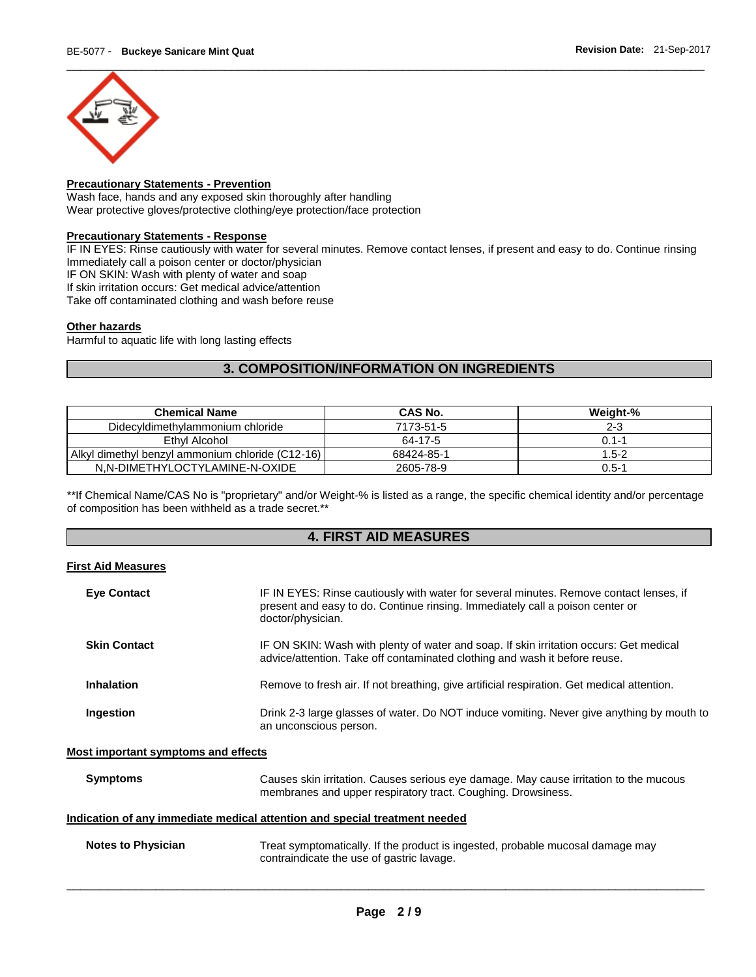

## **Precautionary Statements - Prevention**

Wash face, hands and any exposed skin thoroughly after handling Wear protective gloves/protective clothing/eye protection/face protection

#### **Precautionary Statements - Response**

IF IN EYES: Rinse cautiously with water for several minutes. Remove contact lenses, if present and easy to do. Continue rinsing Immediately call a poison center or doctor/physician

IF ON SKIN: Wash with plenty of water and soap

If skin irritation occurs: Get medical advice/attention

Take off contaminated clothing and wash before reuse

## **Other hazards**

Harmful to aquatic life with long lasting effects

## **3. COMPOSITION/INFORMATION ON INGREDIENTS**

| <b>Chemical Name</b>                               | CAS No.    | Weight-%  |
|----------------------------------------------------|------------|-----------|
| Didecyldimethylammonium chloride                   | 7173-51-5  | $2 - 3$   |
| Ethyl Alcohol                                      | 64-17-5    | $0.1 - 1$ |
| Alkyl dimethyl benzyl ammonium chloride (C12-16) l | 68424-85-1 | $1.5 - 2$ |
| N.N-DIMETHYLOCTYLAMINE-N-OXIDE                     | 2605-78-9  | $0.5 - 1$ |

\*\*If Chemical Name/CAS No is "proprietary" and/or Weight-% is listed as a range, the specific chemical identity and/or percentage of composition has been withheld as a trade secret.\*\*

## **4. FIRST AID MEASURES**

## **First Aid Measures**

| <b>Eye Contact</b>                  | IF IN EYES: Rinse cautiously with water for several minutes. Remove contact lenses, if<br>present and easy to do. Continue rinsing. Immediately call a poison center or<br>doctor/physician. |  |
|-------------------------------------|----------------------------------------------------------------------------------------------------------------------------------------------------------------------------------------------|--|
| <b>Skin Contact</b>                 | IF ON SKIN: Wash with plenty of water and soap. If skin irritation occurs: Get medical<br>advice/attention. Take off contaminated clothing and wash it before reuse.                         |  |
| <b>Inhalation</b>                   | Remove to fresh air. If not breathing, give artificial respiration. Get medical attention.                                                                                                   |  |
| Ingestion                           | Drink 2-3 large glasses of water. Do NOT induce vomiting. Never give anything by mouth to<br>an unconscious person.                                                                          |  |
| Most important symptoms and effects |                                                                                                                                                                                              |  |
| <b>Symptoms</b>                     | Causes skin irritation. Causes serious eye damage. May cause irritation to the mucous<br>membranes and upper respiratory tract. Coughing. Drowsiness.                                        |  |
|                                     | Indication of any immediate medical attention and special treatment needed                                                                                                                   |  |
| <b>Notes to Physician</b>           | Treat symptomatically. If the product is ingested, probable mucosal damage may<br>contraindicate the use of gastric lavage.                                                                  |  |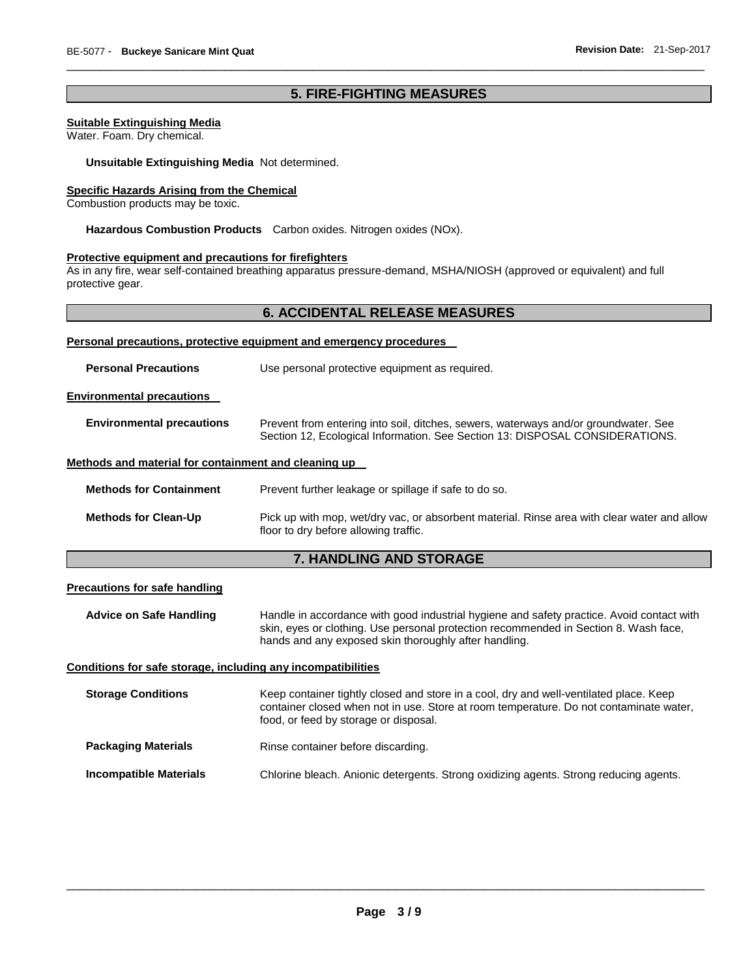## **5. FIRE-FIGHTING MEASURES**

\_\_\_\_\_\_\_\_\_\_\_\_\_\_\_\_\_\_\_\_\_\_\_\_\_\_\_\_\_\_\_\_\_\_\_\_\_\_\_\_\_\_\_\_\_\_\_\_\_\_\_\_\_\_\_\_\_\_\_\_\_\_\_\_\_\_\_\_\_\_\_\_\_\_\_\_\_\_\_\_\_\_\_\_\_\_\_\_\_\_\_\_\_

#### **Suitable Extinguishing Media**

Water. Foam. Dry chemical.

**Unsuitable Extinguishing Media** Not determined.

#### **Specific Hazards Arising from the Chemical**

Combustion products may be toxic.

**Hazardous Combustion Products** Carbon oxides. Nitrogen oxides (NOx).

## **Protective equipment and precautions for firefighters**

As in any fire, wear self-contained breathing apparatus pressure-demand, MSHA/NIOSH (approved or equivalent) and full protective gear.

## **6. ACCIDENTAL RELEASE MEASURES**

| Personal precautions, protective equipment and emergency procedures |                                                                                                                                                                     |  |  |  |
|---------------------------------------------------------------------|---------------------------------------------------------------------------------------------------------------------------------------------------------------------|--|--|--|
| <b>Personal Precautions</b>                                         | Use personal protective equipment as required.                                                                                                                      |  |  |  |
| <b>Environmental precautions</b>                                    |                                                                                                                                                                     |  |  |  |
| <b>Environmental precautions</b>                                    | Prevent from entering into soil, ditches, sewers, waterways and/or groundwater. See<br>Section 12, Ecological Information. See Section 13: DISPOSAL CONSIDERATIONS. |  |  |  |
| Methods and material for containment and cleaning up                |                                                                                                                                                                     |  |  |  |
| <b>Methods for Containment</b>                                      | Prevent further leakage or spillage if safe to do so.                                                                                                               |  |  |  |
| <b>Methods for Clean-Up</b>                                         | Pick up with mop, wet/dry vac, or absorbent material. Rinse area with clear water and allow<br>floor to dry before allowing traffic.                                |  |  |  |

# **7. HANDLING AND STORAGE**

## **Precautions for safe handling**

**Advice on Safe Handling** Handle in accordance with good industrial hygiene and safety practice. Avoid contact with skin, eyes or clothing. Use personal protection recommended in Section 8. Wash face, hands and any exposed skin thoroughly after handling.

#### **Conditions for safe storage, including any incompatibilities**

| <b>Storage Conditions</b>     | Keep container tightly closed and store in a cool, dry and well-ventilated place. Keep<br>container closed when not in use. Store at room temperature. Do not contaminate water,<br>food, or feed by storage or disposal. |
|-------------------------------|---------------------------------------------------------------------------------------------------------------------------------------------------------------------------------------------------------------------------|
| <b>Packaging Materials</b>    | Rinse container before discarding.                                                                                                                                                                                        |
| <b>Incompatible Materials</b> | Chlorine bleach. Anionic detergents. Strong oxidizing agents. Strong reducing agents.                                                                                                                                     |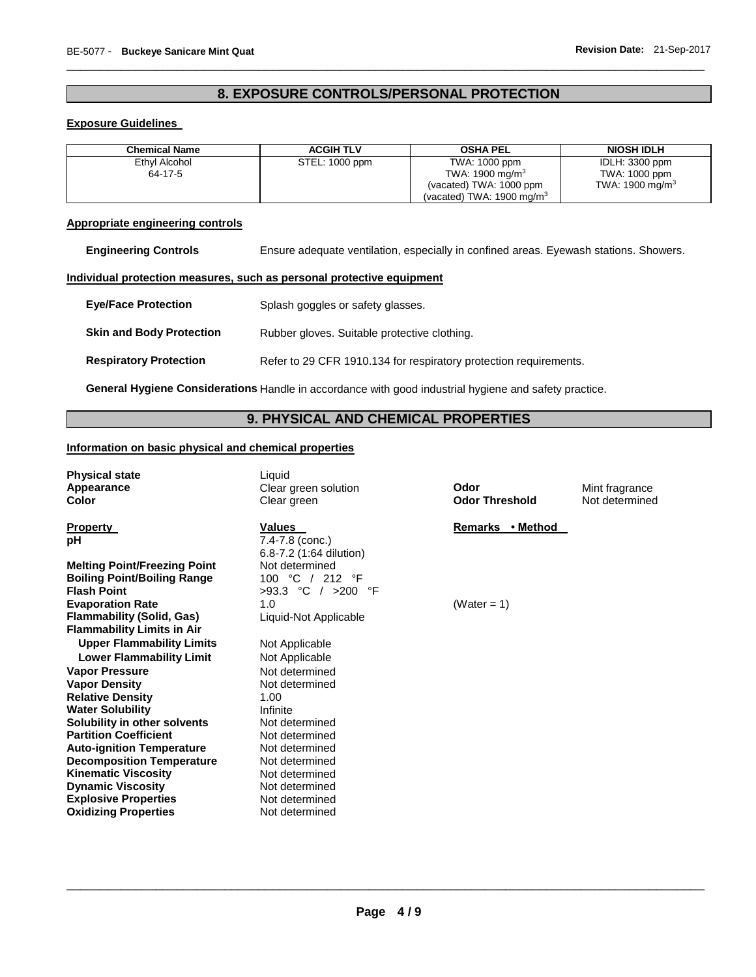# **8. EXPOSURE CONTROLS/PERSONAL PROTECTION**

\_\_\_\_\_\_\_\_\_\_\_\_\_\_\_\_\_\_\_\_\_\_\_\_\_\_\_\_\_\_\_\_\_\_\_\_\_\_\_\_\_\_\_\_\_\_\_\_\_\_\_\_\_\_\_\_\_\_\_\_\_\_\_\_\_\_\_\_\_\_\_\_\_\_\_\_\_\_\_\_\_\_\_\_\_\_\_\_\_\_\_\_\_

## **Exposure Guidelines**

| <b>Chemical Name</b> | <b>ACGIH TLV</b> | <b>OSHA PEL</b>                      | NIOSH IDLH         |
|----------------------|------------------|--------------------------------------|--------------------|
| Ethyl Alcohol        | STEL: 1000 ppm   | TWA: 1000 ppm                        | IDLH: 3300 ppm     |
| 64-17-5              |                  | TWA: 1900 mg/m $3$                   | TWA: 1000 ppm      |
|                      |                  | (vacated) TWA: 1000 ppm              | TWA: 1900 mg/m $3$ |
|                      |                  | (vacated) TWA: $1900 \text{ mg/m}^3$ |                    |

## **Appropriate engineering controls**

**Engineering Controls** Ensure adequate ventilation, especially in confined areas. Eyewash stations. Showers.

## **Individual protection measures, such as personal protective equipment**

| <b>Eve/Face Protection</b>      | Splash goggles or safety glasses.                                 |
|---------------------------------|-------------------------------------------------------------------|
| <b>Skin and Body Protection</b> | Rubber gloves. Suitable protective clothing.                      |
| <b>Respiratory Protection</b>   | Refer to 29 CFR 1910.134 for respiratory protection requirements. |

**General Hygiene Considerations** Handle in accordance with good industrial hygiene and safety practice.

## **9. PHYSICAL AND CHEMICAL PROPERTIES**

## **Information on basic physical and chemical properties**

| <b>Physical state</b><br>Appearance<br>Color                                                       | Liauid<br>Clear green solution<br>Clear green               | Odor<br><b>Odor Threshold</b> | Mint fragrance<br>Not determined |
|----------------------------------------------------------------------------------------------------|-------------------------------------------------------------|-------------------------------|----------------------------------|
| <b>Property</b><br>рH                                                                              | <b>Values</b><br>7.4-7.8 (conc.)<br>6.8-7.2 (1:64 dilution) | Remarks • Method              |                                  |
| <b>Melting Point/Freezing Point</b><br><b>Boiling Point/Boiling Range</b><br><b>Flash Point</b>    | Not determined<br>100 °C / 212 °F<br>>93.3 °C / >200 °F     |                               |                                  |
| <b>Evaporation Rate</b><br><b>Flammability (Solid, Gas)</b><br><b>Flammability Limits in Air</b>   | 1.0<br>Liquid-Not Applicable                                | (Water = $1$ )                |                                  |
| <b>Upper Flammability Limits</b><br><b>Lower Flammability Limit</b>                                | Not Applicable<br>Not Applicable                            |                               |                                  |
| <b>Vapor Pressure</b><br><b>Vapor Density</b><br><b>Relative Density</b>                           | Not determined<br>Not determined<br>1.00                    |                               |                                  |
| <b>Water Solubility</b><br>Solubility in other solvents<br><b>Partition Coefficient</b>            | Infinite<br>Not determined<br>Not determined                |                               |                                  |
| <b>Auto-ignition Temperature</b><br><b>Decomposition Temperature</b><br><b>Kinematic Viscosity</b> | Not determined<br>Not determined<br>Not determined          |                               |                                  |
| <b>Dynamic Viscosity</b><br><b>Explosive Properties</b><br><b>Oxidizing Properties</b>             | Not determined<br>Not determined<br>Not determined          |                               |                                  |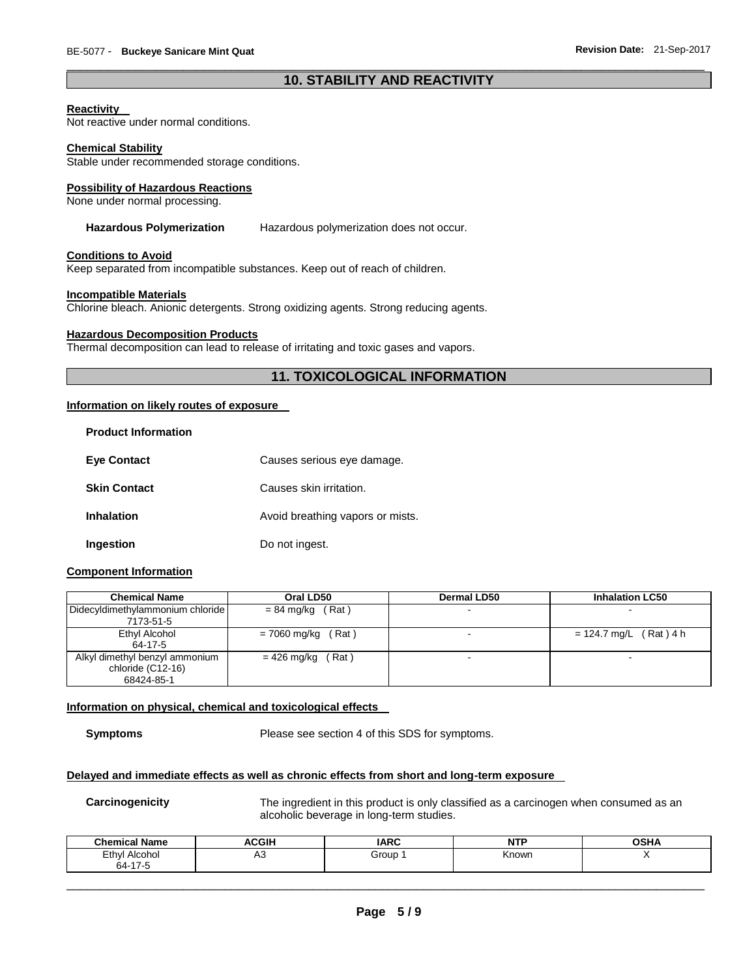## \_\_\_\_\_\_\_\_\_\_\_\_\_\_\_\_\_\_\_\_\_\_\_\_\_\_\_\_\_\_\_\_\_\_\_\_\_\_\_\_\_\_\_\_\_\_\_\_\_\_\_\_\_\_\_\_\_\_\_\_\_\_\_\_\_\_\_\_\_\_\_\_\_\_\_\_\_\_\_\_\_\_\_\_\_\_\_\_\_\_\_\_\_ **10. STABILITY AND REACTIVITY**

## **Reactivity**

Not reactive under normal conditions.

#### **Chemical Stability**

Stable under recommended storage conditions.

#### **Possibility of Hazardous Reactions**

None under normal processing.

#### **Hazardous Polymerization** Hazardous polymerization does not occur.

#### **Conditions to Avoid**

Keep separated from incompatible substances. Keep out of reach of children.

#### **Incompatible Materials**

Chlorine bleach. Anionic detergents. Strong oxidizing agents. Strong reducing agents.

#### **Hazardous Decomposition Products**

Thermal decomposition can lead to release of irritating and toxic gases and vapors.

## **11. TOXICOLOGICAL INFORMATION**

## **Information on likely routes of exposure**

| <b>Product Information</b> |                                  |
|----------------------------|----------------------------------|
| <b>Eve Contact</b>         | Causes serious eye damage.       |
| <b>Skin Contact</b>        | Causes skin irritation.          |
| <b>Inhalation</b>          | Avoid breathing vapors or mists. |
| Ingestion                  | Do not ingest.                   |

## **Component Information**

| <b>Chemical Name</b>             | Oral LD50               | <b>Dermal LD50</b> | <b>Inhalation LC50</b>   |
|----------------------------------|-------------------------|--------------------|--------------------------|
| Didecyldimethylammonium chloride | $= 84$ mg/kg (Rat)      |                    |                          |
| 7173-51-5                        |                         |                    |                          |
| Ethyl Alcohol                    | (Rat)<br>= 7060 mg/kg ( |                    | $= 124.7$ mg/L (Rat) 4 h |
| 64-17-5                          |                         |                    |                          |
| Alkyl dimethyl benzyl ammonium   | Rat)<br>$= 426$ mg/kg ( |                    |                          |
| chloride (C12-16)                |                         |                    |                          |
| 68424-85-1                       |                         |                    |                          |

## **Information on physical, chemical and toxicological effects**

**Symptoms** Please see section 4 of this SDS for symptoms.

## **Delayed and immediate effects as well as chronic effects from short and long-term exposure**

**Carcinogenicity** The ingredient in this product is only classified as a carcinogen when consumed as an alcoholic beverage in long-term studies.

| .<br><b>Chamical</b><br><b>Name</b>                             | <b>ACGIF</b> | IAPC  | .     | <b>OCUA</b> |
|-----------------------------------------------------------------|--------------|-------|-------|-------------|
| Eth<br>Alcohol<br>וער<br>$\sim$ $\sim$<br>$\overline{z}$<br>ьд- | πυ           | Group | Known |             |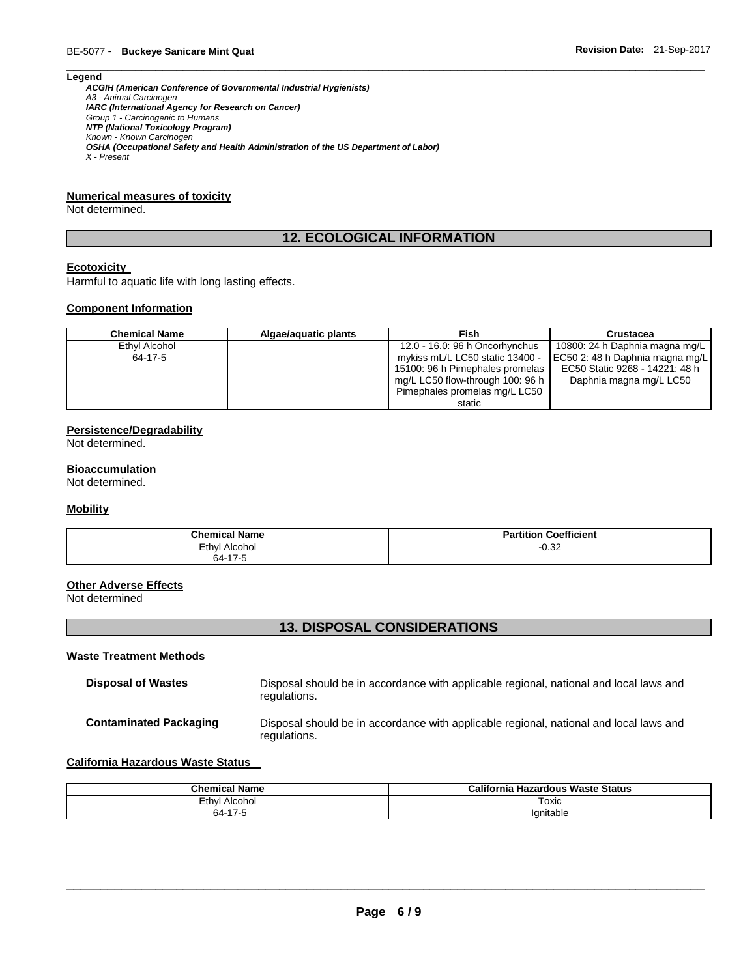#### **Legend**

*ACGIH (American Conference of Governmental Industrial Hygienists) A3 - Animal Carcinogen IARC (International Agency for Research on Cancer) Group 1 - Carcinogenic to Humans NTP (National Toxicology Program) Known - Known Carcinogen OSHA (Occupational Safety and Health Administration of the US Department of Labor) X - Present* 

## **Numerical measures of toxicity**

Not determined.

# **12. ECOLOGICAL INFORMATION**

\_\_\_\_\_\_\_\_\_\_\_\_\_\_\_\_\_\_\_\_\_\_\_\_\_\_\_\_\_\_\_\_\_\_\_\_\_\_\_\_\_\_\_\_\_\_\_\_\_\_\_\_\_\_\_\_\_\_\_\_\_\_\_\_\_\_\_\_\_\_\_\_\_\_\_\_\_\_\_\_\_\_\_\_\_\_\_\_\_\_\_\_\_

## **Ecotoxicity**

Harmful to aquatic life with long lasting effects.

#### **Component Information**

| <b>Chemical Name</b> | Algae/aguatic plants | Fish                             | <b>Crustacea</b>                |
|----------------------|----------------------|----------------------------------|---------------------------------|
| Ethyl Alcohol        |                      | 12.0 - 16.0: 96 h Oncorhynchus   | 10800: 24 h Daphnia magna mg/L  |
| 64-17-5              |                      | mykiss mL/L LC50 static 13400 -  | EC50 2: 48 h Daphnia magna mg/L |
|                      |                      | 15100: 96 h Pimephales promelas  | EC50 Static 9268 - 14221: 48 h  |
|                      |                      | mg/L LC50 flow-through 100: 96 h | Daphnia magna mg/L LC50         |
|                      |                      | Pimephales promelas mg/L LC50    |                                 |
|                      |                      | static                           |                                 |

## **Persistence/Degradability**

Not determined.

## **Bioaccumulation**

Not determined.

## **Mobility**

| <b>Chemical Name</b> | <b>Coefficient</b><br>tition.<br> |
|----------------------|-----------------------------------|
| Ethyl Alcohol        | $\sim$ 0.0<br>-∪.ა∠               |
| 64-17-5              |                                   |

#### **Other Adverse Effects**

Not determined

## **13. DISPOSAL CONSIDERATIONS**

#### **Waste Treatment Methods**

| <b>Disposal of Wastes</b>     | Disposal should be in accordance with applicable regional, national and local laws and<br>regulations. |
|-------------------------------|--------------------------------------------------------------------------------------------------------|
| <b>Contaminated Packaging</b> | Disposal should be in accordance with applicable regional, national and local laws and<br>regulations. |

#### **California Hazardous Waste Status**

| <b>Chemical Name</b> | California<br>ı Hazardous Waste Status |
|----------------------|----------------------------------------|
| Ethyl<br>Alcohol     | Toxic<br>____                          |
| . 177<br>S4 :        | lanitable                              |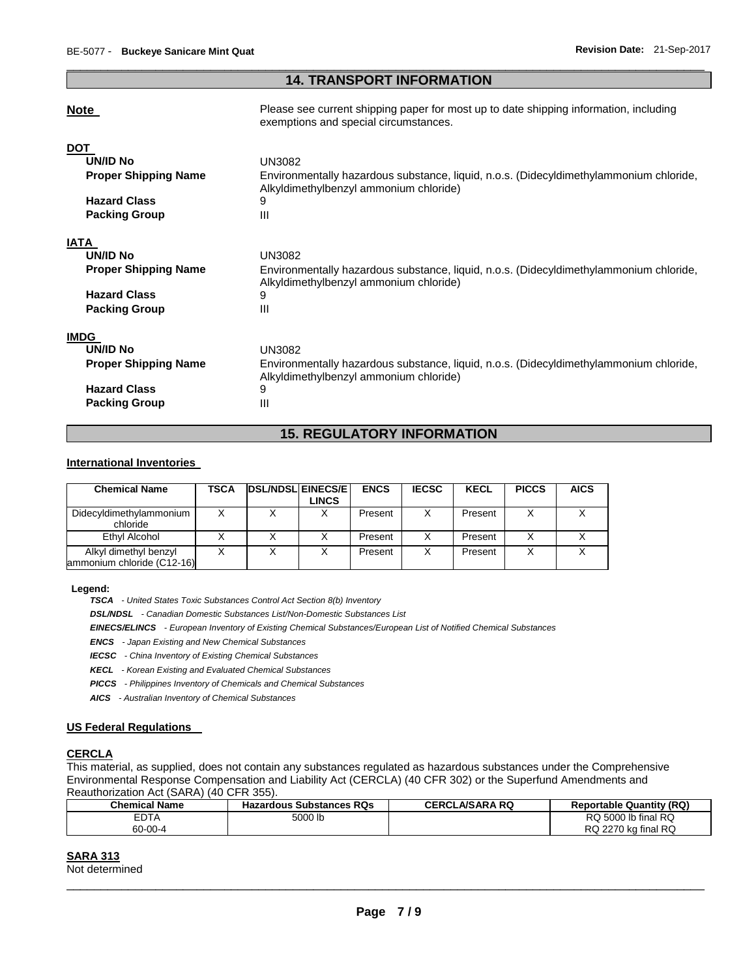## \_\_\_\_\_\_\_\_\_\_\_\_\_\_\_\_\_\_\_\_\_\_\_\_\_\_\_\_\_\_\_\_\_\_\_\_\_\_\_\_\_\_\_\_\_\_\_\_\_\_\_\_\_\_\_\_\_\_\_\_\_\_\_\_\_\_\_\_\_\_\_\_\_\_\_\_\_\_\_\_\_\_\_\_\_\_\_\_\_\_\_\_\_ **14. TRANSPORT INFORMATION**

## **Note Please see current shipping paper for most up to date shipping information, including**

|                             | exemptions and special circumstances.                                                                                            |
|-----------------------------|----------------------------------------------------------------------------------------------------------------------------------|
| <b>DOT</b>                  |                                                                                                                                  |
| <b>UN/ID No</b>             | UN3082                                                                                                                           |
| <b>Proper Shipping Name</b> | Environmentally hazardous substance, liquid, n.o.s. (Didecyldimethylammonium chloride,<br>Alkyldimethylbenzyl ammonium chloride) |
| <b>Hazard Class</b>         | 9                                                                                                                                |
| <b>Packing Group</b>        | Ш                                                                                                                                |
| IATA                        |                                                                                                                                  |
| <b>UN/ID No</b>             | <b>UN3082</b>                                                                                                                    |
| <b>Proper Shipping Name</b> | Environmentally hazardous substance, liquid, n.o.s. (Didecyldimethylammonium chloride,<br>Alkyldimethylbenzyl ammonium chloride) |
| <b>Hazard Class</b>         | 9                                                                                                                                |
| <b>Packing Group</b>        | Ш                                                                                                                                |
| <b>IMDG</b>                 |                                                                                                                                  |
| UN/ID No                    | <b>UN3082</b>                                                                                                                    |
| <b>Proper Shipping Name</b> | Environmentally hazardous substance, liquid, n.o.s. (Didecyldimethylammonium chloride,<br>Alkyldimethylbenzyl ammonium chloride) |
| <b>Hazard Class</b>         | 9                                                                                                                                |
| <b>Packing Group</b>        | Ш                                                                                                                                |

# **15. REGULATORY INFORMATION**

## **International Inventories**

| <b>Chemical Name</b>                                | TSCA | <b>IDSL/NDSLIEINECS/EI</b> | LINCS | <b>ENCS</b> | <b>IECSC</b> | <b>KECL</b> | <b>PICCS</b> | <b>AICS</b> |
|-----------------------------------------------------|------|----------------------------|-------|-------------|--------------|-------------|--------------|-------------|
| Didecyldimethylammonium<br>chloride                 |      |                            |       | Present     |              | Present     |              |             |
| Ethyl Alcohol                                       |      |                            |       | Present     |              | Present     |              |             |
| Alkyl dimethyl benzyl<br>ammonium chloride (C12-16) |      |                            |       | Present     |              | Present     | X            |             |

**Legend:** 

*TSCA - United States Toxic Substances Control Act Section 8(b) Inventory* 

*DSL/NDSL - Canadian Domestic Substances List/Non-Domestic Substances List* 

*EINECS/ELINCS - European Inventory of Existing Chemical Substances/European List of Notified Chemical Substances* 

*ENCS - Japan Existing and New Chemical Substances* 

*IECSC - China Inventory of Existing Chemical Substances* 

*KECL - Korean Existing and Evaluated Chemical Substances* 

*PICCS - Philippines Inventory of Chemicals and Chemical Substances* 

*AICS - Australian Inventory of Chemical Substances* 

## **US Federal Regulations**

## **CERCLA**

This material, as supplied, does not contain any substances regulated as hazardous substances under the Comprehensive Environmental Response Compensation and Liability Act (CERCLA) (40 CFR 302) or the Superfund Amendments and Reauthorization Act (SARA) (40 CFR 355).

| Chemical Name | <b>Hazardous Substances RQs</b> | <b>CERCLA/SARA RQ</b> | <b>Reportable Quantity (RQ)</b> |
|---------------|---------------------------------|-----------------------|---------------------------------|
| <b>EDTA</b>   | 5000 lb                         |                       | RQ 5000 lb final RQ             |
| 60-00-4       |                                 |                       | RQ 2270 kg final RQ             |

## **SARA 313**

Not determined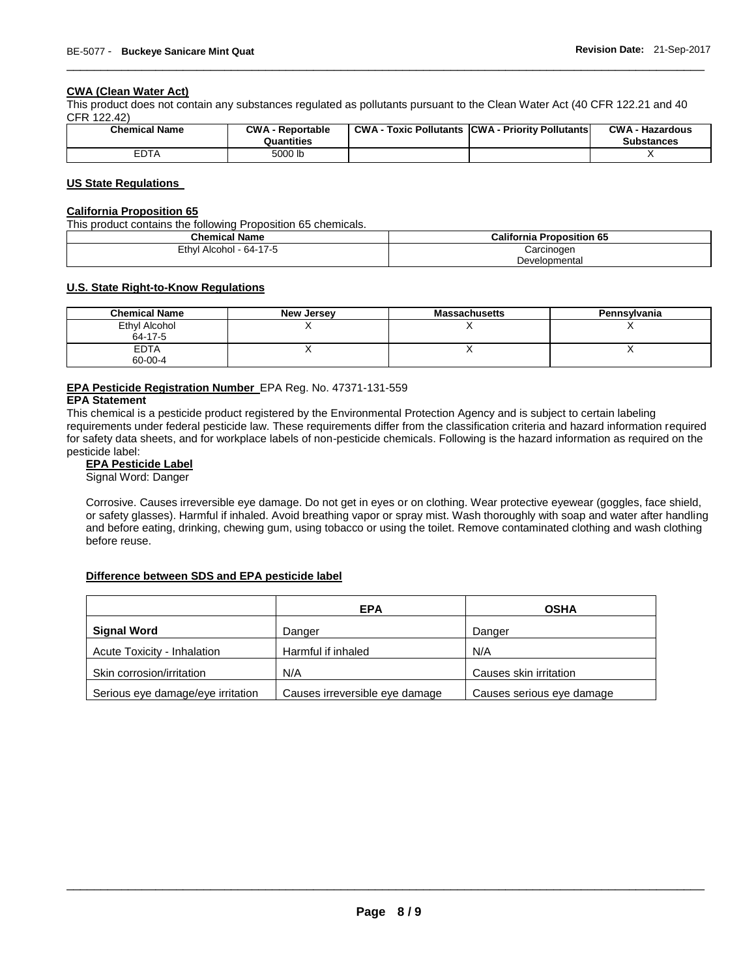## **CWA (Clean Water Act)**

This product does not contain any substances regulated as pollutants pursuant to the Clean Water Act (40 CFR 122.21 and 40 CFR 122.42)

| <b>Chemical Name</b> | <b>CWA - Reportable</b><br>Quantities | CWA- | <b>CWA - Hazardous</b><br><b>Substances</b> |
|----------------------|---------------------------------------|------|---------------------------------------------|
| <b>EDTA</b>          | 5000 lb                               |      |                                             |

\_\_\_\_\_\_\_\_\_\_\_\_\_\_\_\_\_\_\_\_\_\_\_\_\_\_\_\_\_\_\_\_\_\_\_\_\_\_\_\_\_\_\_\_\_\_\_\_\_\_\_\_\_\_\_\_\_\_\_\_\_\_\_\_\_\_\_\_\_\_\_\_\_\_\_\_\_\_\_\_\_\_\_\_\_\_\_\_\_\_\_\_\_

## **US State Regulations**

## **California Proposition 65**

This product contains the following Proposition 65 chemicals.

| <b>Chemical Name</b>         | <b>California Proposition 65</b> |
|------------------------------|----------------------------------|
| Ethyl<br>l Alcohol - 64-17-5 | Carcinogen                       |
|                              | Developmental                    |

## **U.S. State Right-to-Know Regulations**

| <b>Chemical Name</b>     | New Jersey | <b>Massachusetts</b> | Pennsylvania |
|--------------------------|------------|----------------------|--------------|
| Ethyl Alcohol<br>64-17-5 |            |                      |              |
| <b>EDTA</b><br>60-00-4   |            | ,,                   |              |

## **EPA Pesticide Registration Number** EPA Reg. No. 47371-131-559

## **EPA Statement**

This chemical is a pesticide product registered by the Environmental Protection Agency and is subject to certain labeling requirements under federal pesticide law. These requirements differ from the classification criteria and hazard information required for safety data sheets, and for workplace labels of non-pesticide chemicals. Following is the hazard information as required on the pesticide label:

#### **EPA Pesticide Label**

Signal Word: Danger

Corrosive. Causes irreversible eye damage. Do not get in eyes or on clothing. Wear protective eyewear (goggles, face shield, or safety glasses). Harmful if inhaled. Avoid breathing vapor or spray mist. Wash thoroughly with soap and water after handling and before eating, drinking, chewing gum, using tobacco or using the toilet. Remove contaminated clothing and wash clothing before reuse.

## **Difference between SDS and EPA pesticide label**

|                                   | <b>EPA</b>                     | <b>OSHA</b>               |
|-----------------------------------|--------------------------------|---------------------------|
| <b>Signal Word</b>                | Danger                         | Danger                    |
| Acute Toxicity - Inhalation       | Harmful if inhaled             | N/A                       |
| Skin corrosion/irritation         | N/A                            | Causes skin irritation    |
| Serious eye damage/eye irritation | Causes irreversible eye damage | Causes serious eye damage |